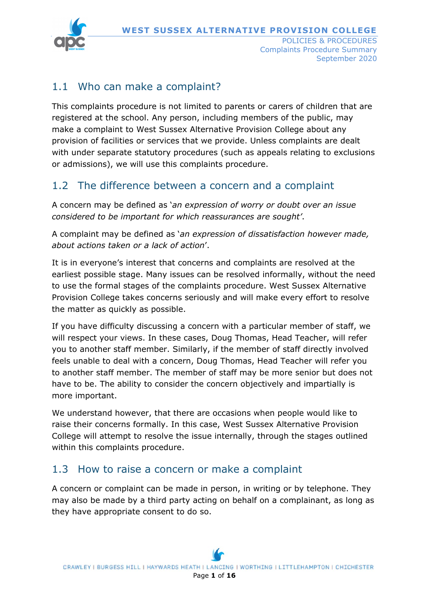

September 2020

### 1.1 Who can make a complaint?

This complaints procedure is not limited to parents or carers of children that are registered at the school. Any person, including members of the public, may make a complaint to West Sussex Alternative Provision College about any provision of facilities or services that we provide. Unless complaints are dealt with under separate statutory procedures (such as appeals relating to exclusions or admissions), we will use this complaints procedure.

### 1.2 The difference between a concern and a complaint

A concern may be defined as '*an expression of worry or doubt over an issue considered to be important for which reassurances are sought'*.

A complaint may be defined as '*an expression of dissatisfaction however made, about actions taken or a lack of action*'.

It is in everyone's interest that concerns and complaints are resolved at the earliest possible stage. Many issues can be resolved informally, without the need to use the formal stages of the complaints procedure. West Sussex Alternative Provision College takes concerns seriously and will make every effort to resolve the matter as quickly as possible.

If you have difficulty discussing a concern with a particular member of staff, we will respect your views. In these cases, Doug Thomas, Head Teacher, will refer you to another staff member. Similarly, if the member of staff directly involved feels unable to deal with a concern, Doug Thomas, Head Teacher will refer you to another staff member. The member of staff may be more senior but does not have to be. The ability to consider the concern objectively and impartially is more important.

We understand however, that there are occasions when people would like to raise their concerns formally. In this case, West Sussex Alternative Provision College will attempt to resolve the issue internally, through the stages outlined within this complaints procedure.

#### 1.3 How to raise a concern or make a complaint

A concern or complaint can be made in person, in writing or by telephone. They may also be made by a third party acting on behalf on a complainant, as long as they have appropriate consent to do so.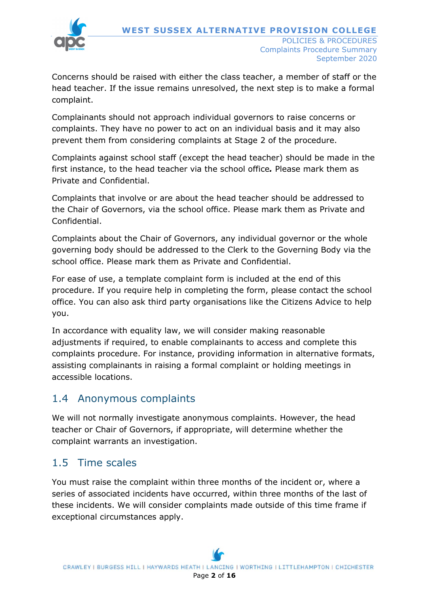

Concerns should be raised with either the class teacher, a member of staff or the head teacher. If the issue remains unresolved, the next step is to make a formal complaint.

Complainants should not approach individual governors to raise concerns or complaints. They have no power to act on an individual basis and it may also prevent them from considering complaints at Stage 2 of the procedure.

Complaints against school staff (except the head teacher) should be made in the first instance, to the head teacher via the school office*.* Please mark them as Private and Confidential.

Complaints that involve or are about the head teacher should be addressed to the Chair of Governors, via the school office. Please mark them as Private and Confidential.

Complaints about the Chair of Governors, any individual governor or the whole governing body should be addressed to the Clerk to the Governing Body via the school office. Please mark them as Private and Confidential.

For ease of use, a template complaint form is included at the end of this procedure. If you require help in completing the form, please contact the school office. You can also ask third party organisations like the Citizens Advice to help you.

In accordance with equality law, we will consider making reasonable adjustments if required, to enable complainants to access and complete this complaints procedure. For instance, providing information in alternative formats, assisting complainants in raising a formal complaint or holding meetings in accessible locations.

## 1.4 Anonymous complaints

We will not normally investigate anonymous complaints. However, the head teacher or Chair of Governors, if appropriate, will determine whether the complaint warrants an investigation.

### 1.5 Time scales

You must raise the complaint within three months of the incident or, where a series of associated incidents have occurred, within three months of the last of these incidents. We will consider complaints made outside of this time frame if exceptional circumstances apply.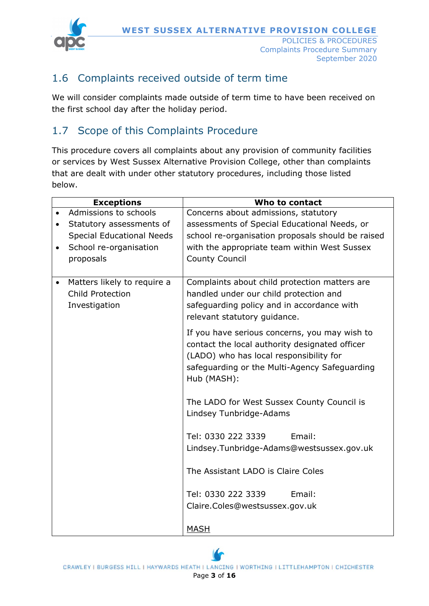**WEST SUSSEX ALTERNATIVE PROVISION COLLEGE**



POLICIES & PROCEDURES Complaints Procedure Summary September 2020

# 1.6 Complaints received outside of term time

We will consider complaints made outside of term time to have been received on the first school day after the holiday period.

### 1.7 Scope of this Complaints Procedure

This procedure covers all complaints about any provision of community facilities or services by West Sussex Alternative Provision College, other than complaints that are dealt with under other statutory procedures, including those listed below.

| <b>Exceptions</b>                                                                    | Who to contact                                                                                                                                                                                             |
|--------------------------------------------------------------------------------------|------------------------------------------------------------------------------------------------------------------------------------------------------------------------------------------------------------|
| Admissions to schools                                                                | Concerns about admissions, statutory                                                                                                                                                                       |
| Statutory assessments of<br>$\bullet$                                                | assessments of Special Educational Needs, or                                                                                                                                                               |
| <b>Special Educational Needs</b>                                                     | school re-organisation proposals should be raised                                                                                                                                                          |
| School re-organisation<br>$\bullet$                                                  | with the appropriate team within West Sussex                                                                                                                                                               |
| proposals                                                                            | <b>County Council</b>                                                                                                                                                                                      |
|                                                                                      |                                                                                                                                                                                                            |
| Matters likely to require a<br>$\bullet$<br><b>Child Protection</b><br>Investigation | Complaints about child protection matters are<br>handled under our child protection and<br>safeguarding policy and in accordance with<br>relevant statutory guidance.                                      |
|                                                                                      | If you have serious concerns, you may wish to<br>contact the local authority designated officer<br>(LADO) who has local responsibility for<br>safeguarding or the Multi-Agency Safeguarding<br>Hub (MASH): |
|                                                                                      | The LADO for West Sussex County Council is<br>Lindsey Tunbridge-Adams                                                                                                                                      |
|                                                                                      | Email:<br>Tel: 0330 222 3339                                                                                                                                                                               |
|                                                                                      | Lindsey.Tunbridge-Adams@westsussex.gov.uk                                                                                                                                                                  |
|                                                                                      |                                                                                                                                                                                                            |
|                                                                                      | The Assistant LADO is Claire Coles                                                                                                                                                                         |
|                                                                                      | Tel: 0330 222 3339<br>Email:                                                                                                                                                                               |
|                                                                                      | Claire.Coles@westsussex.gov.uk                                                                                                                                                                             |
|                                                                                      | <b>MASH</b>                                                                                                                                                                                                |

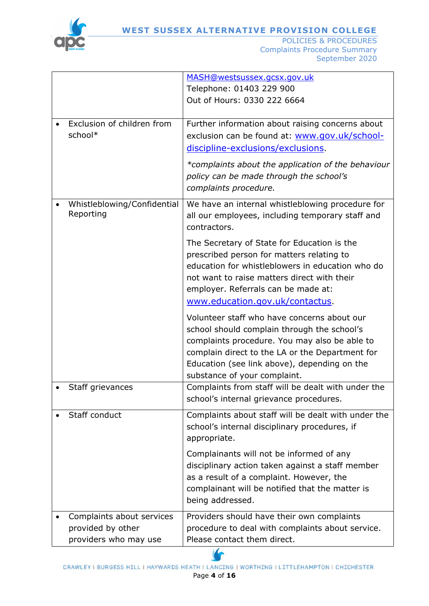

|                                                                         | MASH@westsussex.gcsx.gov.uk<br>Telephone: 01403 229 900<br>Out of Hours: 0330 222 6664                                                                                                                                                                                         |
|-------------------------------------------------------------------------|--------------------------------------------------------------------------------------------------------------------------------------------------------------------------------------------------------------------------------------------------------------------------------|
| Exclusion of children from<br>school*                                   | Further information about raising concerns about<br>exclusion can be found at: www.gov.uk/school-<br>discipline-exclusions/exclusions.                                                                                                                                         |
|                                                                         | *complaints about the application of the behaviour<br>policy can be made through the school's<br>complaints procedure.                                                                                                                                                         |
| Whistleblowing/Confidential<br>Reporting                                | We have an internal whistleblowing procedure for<br>all our employees, including temporary staff and<br>contractors.                                                                                                                                                           |
|                                                                         | The Secretary of State for Education is the<br>prescribed person for matters relating to<br>education for whistleblowers in education who do<br>not want to raise matters direct with their<br>employer. Referrals can be made at:<br>www.education.gov.uk/contactus.          |
|                                                                         | Volunteer staff who have concerns about our<br>school should complain through the school's<br>complaints procedure. You may also be able to<br>complain direct to the LA or the Department for<br>Education (see link above), depending on the<br>substance of your complaint. |
| Staff grievances                                                        | Complaints from staff will be dealt with under the<br>school's internal grievance procedures.                                                                                                                                                                                  |
| Staff conduct                                                           | Complaints about staff will be dealt with under the<br>school's internal disciplinary procedures, if<br>appropriate.                                                                                                                                                           |
|                                                                         | Complainants will not be informed of any<br>disciplinary action taken against a staff member<br>as a result of a complaint. However, the<br>complainant will be notified that the matter is<br>being addressed.                                                                |
| Complaints about services<br>provided by other<br>providers who may use | Providers should have their own complaints<br>procedure to deal with complaints about service.<br>Please contact them direct.                                                                                                                                                  |

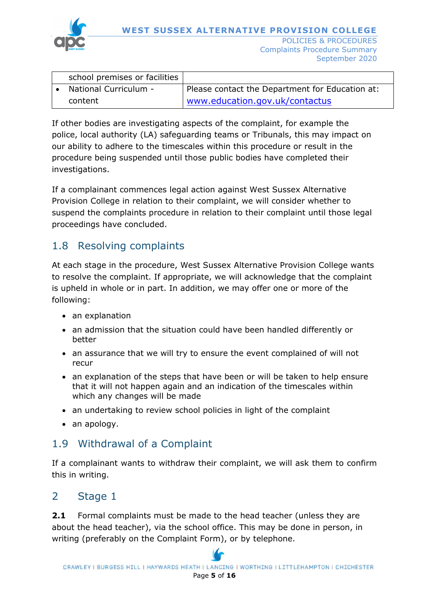

| school premises or facilities |                                                 |
|-------------------------------|-------------------------------------------------|
| National Curriculum -         | Please contact the Department for Education at: |
| content                       | www.education.gov.uk/contactus                  |

If other bodies are investigating aspects of the complaint, for example the police, local authority (LA) safeguarding teams or Tribunals, this may impact on our ability to adhere to the timescales within this procedure or result in the procedure being suspended until those public bodies have completed their investigations.

If a complainant commences legal action against West Sussex Alternative Provision College in relation to their complaint, we will consider whether to suspend the complaints procedure in relation to their complaint until those legal proceedings have concluded.

### 1.8 Resolving complaints

At each stage in the procedure, West Sussex Alternative Provision College wants to resolve the complaint. If appropriate, we will acknowledge that the complaint is upheld in whole or in part. In addition, we may offer one or more of the following:

- an explanation
- an admission that the situation could have been handled differently or better
- an assurance that we will try to ensure the event complained of will not recur
- an explanation of the steps that have been or will be taken to help ensure that it will not happen again and an indication of the timescales within which any changes will be made
- an undertaking to review school policies in light of the complaint
- an apology.

## 1.9 Withdrawal of a Complaint

If a complainant wants to withdraw their complaint, we will ask them to confirm this in writing.

## 2 Stage 1

**2.1** Formal complaints must be made to the head teacher (unless they are about the head teacher), via the school office. This may be done in person, in writing (preferably on the Complaint Form), or by telephone.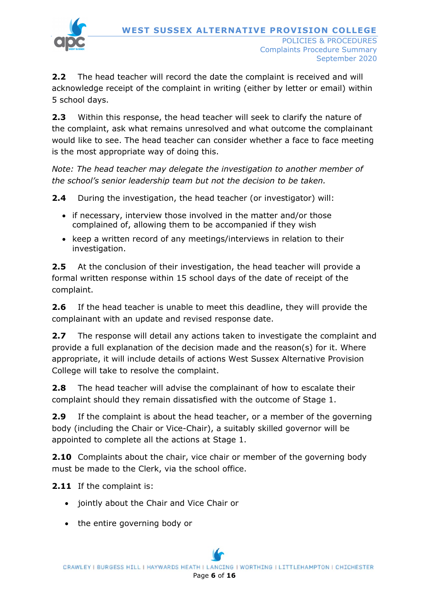

**2.2** The head teacher will record the date the complaint is received and will acknowledge receipt of the complaint in writing (either by letter or email) within 5 school days.

**2.3** Within this response, the head teacher will seek to clarify the nature of the complaint, ask what remains unresolved and what outcome the complainant would like to see. The head teacher can consider whether a face to face meeting is the most appropriate way of doing this.

*Note: The head teacher may delegate the investigation to another member of the school's senior leadership team but not the decision to be taken.*

**2.4** During the investigation, the head teacher (or investigator) will:

- if necessary, interview those involved in the matter and/or those complained of, allowing them to be accompanied if they wish
- keep a written record of any meetings/interviews in relation to their investigation.

**2.5** At the conclusion of their investigation, the head teacher will provide a formal written response within 15 school days of the date of receipt of the complaint.

**2.6** If the head teacher is unable to meet this deadline, they will provide the complainant with an update and revised response date.

**2.7** The response will detail any actions taken to investigate the complaint and provide a full explanation of the decision made and the reason(s) for it. Where appropriate, it will include details of actions West Sussex Alternative Provision College will take to resolve the complaint.

**2.8** The head teacher will advise the complainant of how to escalate their complaint should they remain dissatisfied with the outcome of Stage 1.

**2.9** If the complaint is about the head teacher, or a member of the governing body (including the Chair or Vice-Chair), a suitably skilled governor will be appointed to complete all the actions at Stage 1.

**2.10** Complaints about the chair, vice chair or member of the governing body must be made to the Clerk, via the school office.

**2.11** If the complaint is:

- jointly about the Chair and Vice Chair or
- the entire governing body or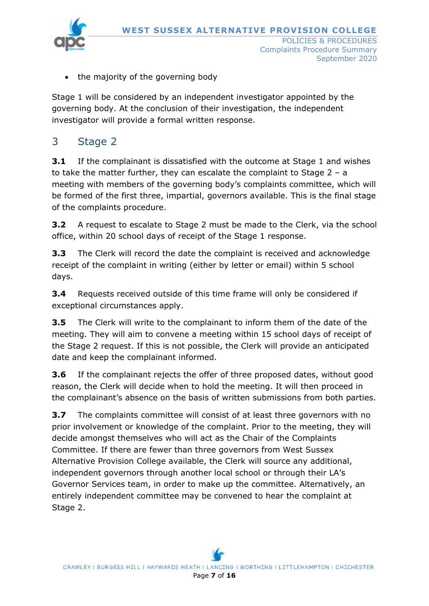**WEST SUSSEX ALTERNATIVE PROVISION COLLEGE**



- POLICIES & PROCEDURES Complaints Procedure Summary September 2020
- the majority of the governing body

Stage 1 will be considered by an independent investigator appointed by the governing body. At the conclusion of their investigation, the independent investigator will provide a formal written response.

## 3 Stage 2

**3.1** If the complainant is dissatisfied with the outcome at Stage 1 and wishes to take the matter further, they can escalate the complaint to Stage 2 – a meeting with members of the governing body's complaints committee, which will be formed of the first three, impartial, governors available. This is the final stage of the complaints procedure.

**3.2** A request to escalate to Stage 2 must be made to the Clerk, via the school office, within 20 school days of receipt of the Stage 1 response.

**3.3** The Clerk will record the date the complaint is received and acknowledge receipt of the complaint in writing (either by letter or email) within 5 school days.

**3.4** Requests received outside of this time frame will only be considered if exceptional circumstances apply.

**3.5** The Clerk will write to the complainant to inform them of the date of the meeting. They will aim to convene a meeting within 15 school days of receipt of the Stage 2 request. If this is not possible, the Clerk will provide an anticipated date and keep the complainant informed.

**3.6** If the complainant rejects the offer of three proposed dates, without good reason, the Clerk will decide when to hold the meeting. It will then proceed in the complainant's absence on the basis of written submissions from both parties.

**3.7** The complaints committee will consist of at least three governors with no prior involvement or knowledge of the complaint. Prior to the meeting, they will decide amongst themselves who will act as the Chair of the Complaints Committee. If there are fewer than three governors from West Sussex Alternative Provision College available, the Clerk will source any additional, independent governors through another local school or through their LA's Governor Services team, in order to make up the committee. Alternatively, an entirely independent committee may be convened to hear the complaint at Stage 2.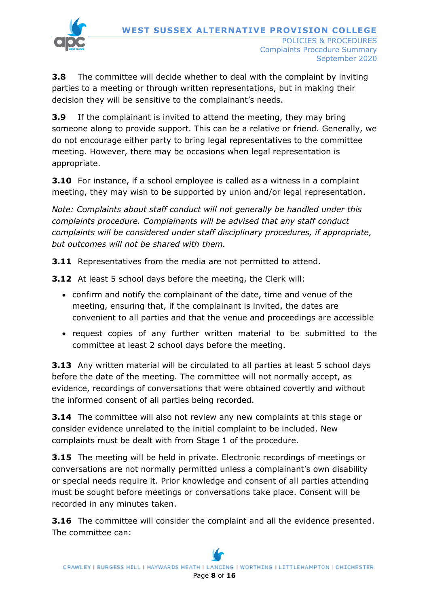

**3.8** The committee will decide whether to deal with the complaint by inviting parties to a meeting or through written representations, but in making their decision they will be sensitive to the complainant's needs.

**3.9** If the complainant is invited to attend the meeting, they may bring someone along to provide support. This can be a relative or friend. Generally, we do not encourage either party to bring legal representatives to the committee meeting. However, there may be occasions when legal representation is appropriate.

**3.10** For instance, if a school employee is called as a witness in a complaint meeting, they may wish to be supported by union and/or legal representation.

*Note: Complaints about staff conduct will not generally be handled under this complaints procedure. Complainants will be advised that any staff conduct complaints will be considered under staff disciplinary procedures, if appropriate, but outcomes will not be shared with them.* 

**3.11** Representatives from the media are not permitted to attend.

**3.12** At least 5 school days before the meeting, the Clerk will:

- confirm and notify the complainant of the date, time and venue of the meeting, ensuring that, if the complainant is invited, the dates are convenient to all parties and that the venue and proceedings are accessible
- request copies of any further written material to be submitted to the committee at least 2 school days before the meeting.

**3.13** Any written material will be circulated to all parties at least 5 school days before the date of the meeting. The committee will not normally accept, as evidence, recordings of conversations that were obtained covertly and without the informed consent of all parties being recorded.

**3.14** The committee will also not review any new complaints at this stage or consider evidence unrelated to the initial complaint to be included. New complaints must be dealt with from Stage 1 of the procedure.

**3.15** The meeting will be held in private. Electronic recordings of meetings or conversations are not normally permitted unless a complainant's own disability or special needs require it. Prior knowledge and consent of all parties attending must be sought before meetings or conversations take place. Consent will be recorded in any minutes taken.

**3.16** The committee will consider the complaint and all the evidence presented. The committee can: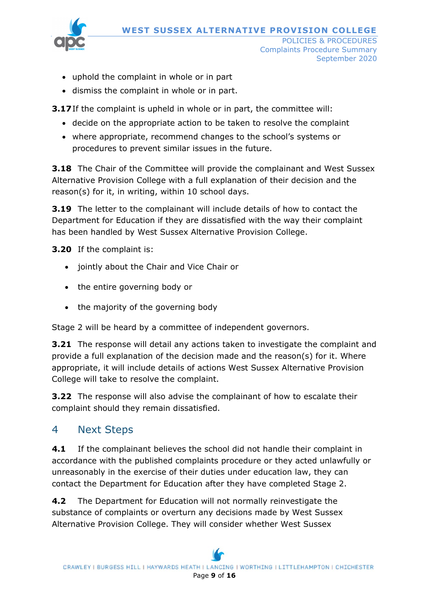

POLICIES & PROCEDURES Complaints Procedure Summary September 2020

- uphold the complaint in whole or in part
- dismiss the complaint in whole or in part.

**3.17**If the complaint is upheld in whole or in part, the committee will:

- decide on the appropriate action to be taken to resolve the complaint
- where appropriate, recommend changes to the school's systems or procedures to prevent similar issues in the future.

**3.18** The Chair of the Committee will provide the complainant and West Sussex Alternative Provision College with a full explanation of their decision and the reason(s) for it, in writing, within 10 school days.

**3.19** The letter to the complainant will include details of how to contact the Department for Education if they are dissatisfied with the way their complaint has been handled by West Sussex Alternative Provision College.

**3.20** If the complaint is:

- jointly about the Chair and Vice Chair or
- the entire governing body or
- the majority of the governing body

Stage 2 will be heard by a committee of independent governors.

**3.21** The response will detail any actions taken to investigate the complaint and provide a full explanation of the decision made and the reason(s) for it. Where appropriate, it will include details of actions West Sussex Alternative Provision College will take to resolve the complaint.

**3.22** The response will also advise the complainant of how to escalate their complaint should they remain dissatisfied.

### 4 Next Steps

**4.1** If the complainant believes the school did not handle their complaint in accordance with the published complaints procedure or they acted unlawfully or unreasonably in the exercise of their duties under education law, they can contact the Department for Education after they have completed Stage 2.

**4.2** The Department for Education will not normally reinvestigate the substance of complaints or overturn any decisions made by West Sussex Alternative Provision College. They will consider whether West Sussex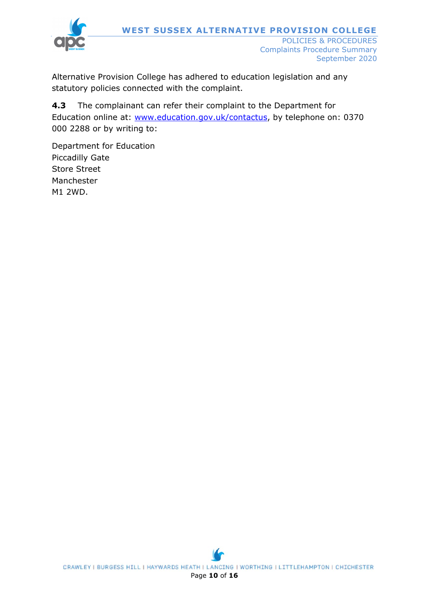

Alternative Provision College has adhered to education legislation and any statutory policies connected with the complaint.

**4.3** The complainant can refer their complaint to the Department for Education online at: [www.education.gov.uk/contactus,](http://www.education.gov.uk/contactus) by telephone on: 0370 000 2288 or by writing to:

Department for Education Piccadilly Gate Store Street Manchester M1 2WD.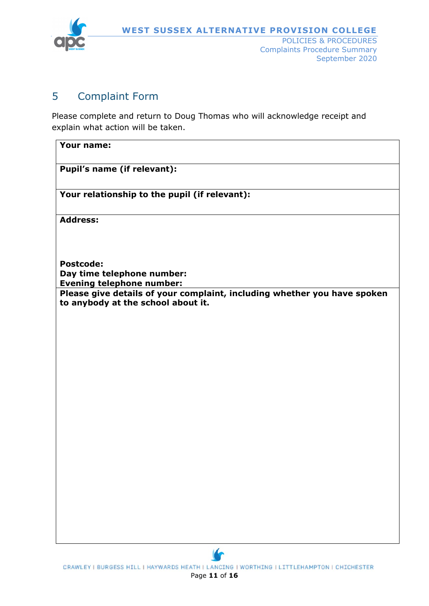

September 2020

#### 5 Complaint Form

Please complete and return to Doug Thomas who will acknowledge receipt and explain what action will be taken.

| Your name:                                                                                                     |  |  |  |
|----------------------------------------------------------------------------------------------------------------|--|--|--|
| Pupil's name (if relevant):                                                                                    |  |  |  |
| Your relationship to the pupil (if relevant):                                                                  |  |  |  |
| <b>Address:</b>                                                                                                |  |  |  |
|                                                                                                                |  |  |  |
| <b>Postcode:</b>                                                                                               |  |  |  |
| Day time telephone number:<br><b>Evening telephone number:</b>                                                 |  |  |  |
| Please give details of your complaint, including whether you have spoken<br>to anybody at the school about it. |  |  |  |
|                                                                                                                |  |  |  |
|                                                                                                                |  |  |  |
|                                                                                                                |  |  |  |
|                                                                                                                |  |  |  |
|                                                                                                                |  |  |  |
|                                                                                                                |  |  |  |
|                                                                                                                |  |  |  |
|                                                                                                                |  |  |  |
|                                                                                                                |  |  |  |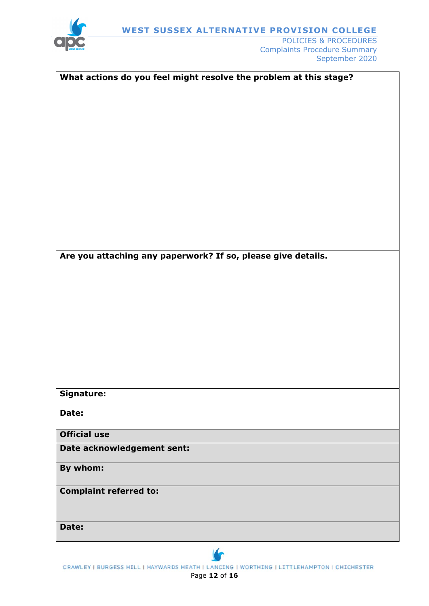

POLICIES & PROCEDURES Complaints Procedure Summary September 2020

| Are you attaching any paperwork? If so, please give details. |
|--------------------------------------------------------------|
|                                                              |
|                                                              |
|                                                              |
|                                                              |
|                                                              |
|                                                              |
|                                                              |
|                                                              |
|                                                              |
|                                                              |
|                                                              |
|                                                              |
| Signature:                                                   |
|                                                              |
| Date:                                                        |
|                                                              |
| <b>Official use</b>                                          |
|                                                              |
| Date acknowledgement sent:                                   |
| By whom:                                                     |
|                                                              |
|                                                              |
| <b>Complaint referred to:</b>                                |
|                                                              |
|                                                              |
| Date:                                                        |
|                                                              |

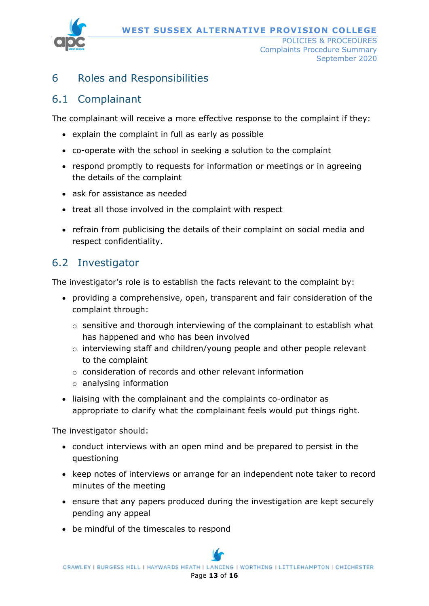**WEST SUSSEX ALTERNATIVE PROVISION COLLEGE**



POLICIES & PROCEDURES Complaints Procedure Summary September 2020

### 6 Roles and Responsibilities

### 6.1 Complainant

The complainant will receive a more effective response to the complaint if they:

- explain the complaint in full as early as possible
- co-operate with the school in seeking a solution to the complaint
- respond promptly to requests for information or meetings or in agreeing the details of the complaint
- ask for assistance as needed
- treat all those involved in the complaint with respect
- refrain from publicising the details of their complaint on social media and respect confidentiality.

## 6.2 Investigator

The investigator's role is to establish the facts relevant to the complaint by:

- providing a comprehensive, open, transparent and fair consideration of the complaint through:
	- o sensitive and thorough interviewing of the complainant to establish what has happened and who has been involved
	- o interviewing staff and children/young people and other people relevant to the complaint
	- o consideration of records and other relevant information
	- o analysing information
- liaising with the complainant and the complaints co-ordinator as appropriate to clarify what the complainant feels would put things right.

The investigator should:

- conduct interviews with an open mind and be prepared to persist in the questioning
- keep notes of interviews or arrange for an independent note taker to record minutes of the meeting
- ensure that any papers produced during the investigation are kept securely pending any appeal
- be mindful of the timescales to respond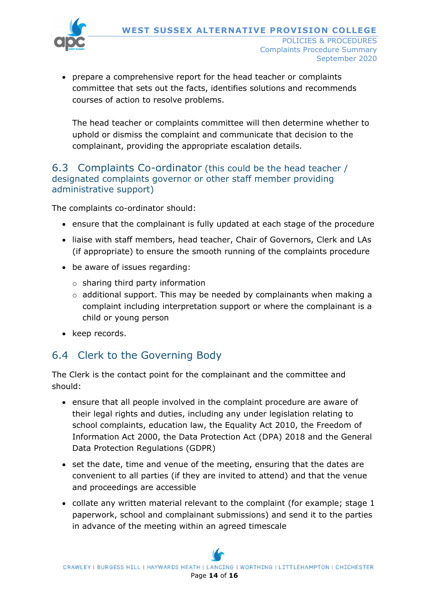

• prepare a comprehensive report for the head teacher or complaints committee that sets out the facts, identifies solutions and recommends courses of action to resolve problems.

The head teacher or complaints committee will then determine whether to uphold or dismiss the complaint and communicate that decision to the complainant, providing the appropriate escalation details.

#### 6.3 Complaints Co-ordinator (this could be the head teacher / designated complaints governor or other staff member providing administrative support)

The complaints co-ordinator should:

- ensure that the complainant is fully updated at each stage of the procedure
- liaise with staff members, head teacher, Chair of Governors, Clerk and LAs (if appropriate) to ensure the smooth running of the complaints procedure
- be aware of issues regarding:
	- o sharing third party information
	- o additional support. This may be needed by complainants when making a complaint including interpretation support or where the complainant is a child or young person
- keep records.

### 6.4 Clerk to the Governing Body

The Clerk is the contact point for the complainant and the committee and should:

- ensure that all people involved in the complaint procedure are aware of their legal rights and duties, including any under legislation relating to school complaints, education law, the Equality Act 2010, the Freedom of Information Act 2000, the Data Protection Act (DPA) 2018 and the General Data Protection Regulations (GDPR)
- set the date, time and venue of the meeting, ensuring that the dates are convenient to all parties (if they are invited to attend) and that the venue and proceedings are accessible
- collate any written material relevant to the complaint (for example; stage 1 paperwork, school and complainant submissions) and send it to the parties in advance of the meeting within an agreed timescale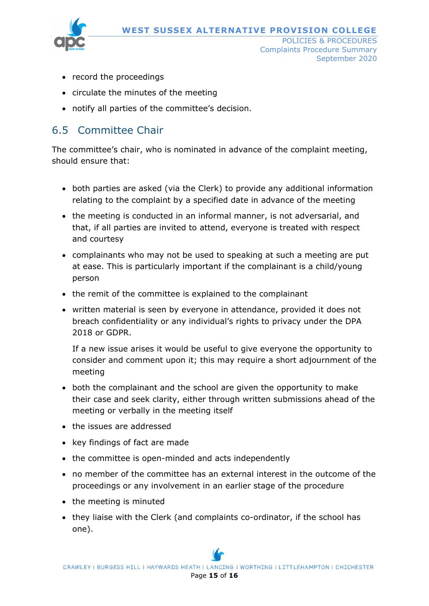

POLICIES & PROCEDURES Complaints Procedure Summary September 2020

- record the proceedings
- circulate the minutes of the meeting
- notify all parties of the committee's decision.

## 6.5 Committee Chair

The committee's chair, who is nominated in advance of the complaint meeting, should ensure that:

- both parties are asked (via the Clerk) to provide any additional information relating to the complaint by a specified date in advance of the meeting
- the meeting is conducted in an informal manner, is not adversarial, and that, if all parties are invited to attend, everyone is treated with respect and courtesy
- complainants who may not be used to speaking at such a meeting are put at ease. This is particularly important if the complainant is a child/young person
- the remit of the committee is explained to the complainant
- written material is seen by everyone in attendance, provided it does not breach confidentiality or any individual's rights to privacy under the DPA 2018 or GDPR.

If a new issue arises it would be useful to give everyone the opportunity to consider and comment upon it; this may require a short adjournment of the meeting

- both the complainant and the school are given the opportunity to make their case and seek clarity, either through written submissions ahead of the meeting or verbally in the meeting itself
- the issues are addressed
- key findings of fact are made
- the committee is open-minded and acts independently
- no member of the committee has an external interest in the outcome of the proceedings or any involvement in an earlier stage of the procedure
- the meeting is minuted
- they liaise with the Clerk (and complaints co-ordinator, if the school has one).